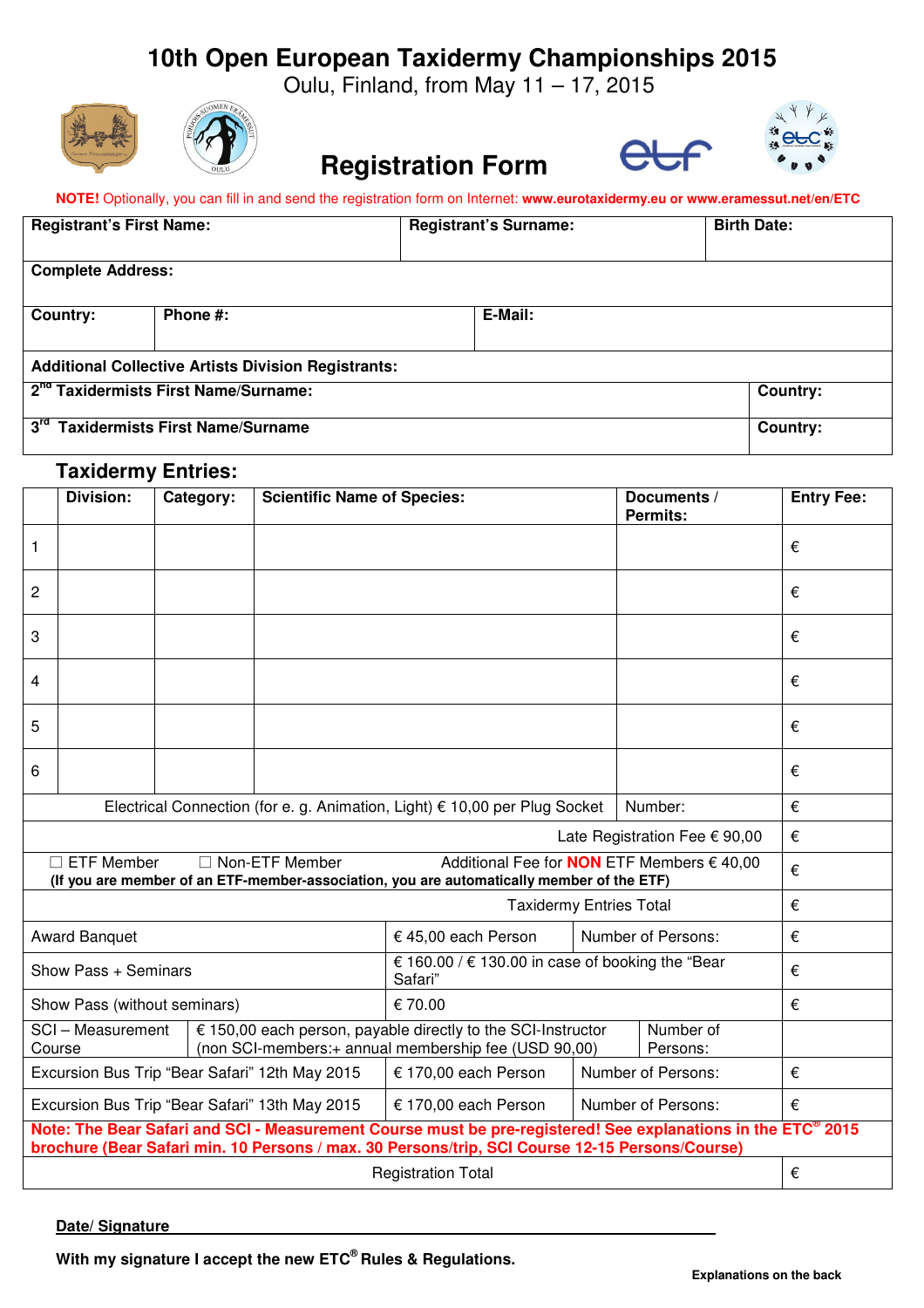# **10th Open European Taxidermy Championships 2015**

Oulu, Finland, from May 11 – 17, 2015









#### **NOTE!** Optionally, you can fill in and send the registration form on Internet: **www.eurotaxidermy.eu or www.eramessut.net/en/ETC**

**Registration Form**

| <b>Registrant's First Name:</b>                            |          | <b>Registrant's Surname:</b> |         |                 | <b>Birth Date:</b> |  |
|------------------------------------------------------------|----------|------------------------------|---------|-----------------|--------------------|--|
| <b>Complete Address:</b>                                   |          |                              |         |                 |                    |  |
| Country:                                                   | Phone #: |                              | E-Mail: |                 |                    |  |
| <b>Additional Collective Artists Division Registrants:</b> |          |                              |         |                 |                    |  |
| 2 <sup>nd</sup> Taxidermists First Name/Surname:           |          |                              |         | <b>Country:</b> |                    |  |
| $3^{\text{ra}}$<br><b>Taxidermists First Name/Surname</b>  |          |                              |         | Country:        |                    |  |

## **Taxidermy Entries:**

|                                                                                                                                                                                                                | <b>Division:</b> | Category: | <b>Scientific Name of Species:</b> |                                                             |                       | Documents /<br><b>Permits:</b> | <b>Entry Fee:</b> |
|----------------------------------------------------------------------------------------------------------------------------------------------------------------------------------------------------------------|------------------|-----------|------------------------------------|-------------------------------------------------------------|-----------------------|--------------------------------|-------------------|
| 1                                                                                                                                                                                                              |                  |           |                                    |                                                             |                       |                                | €                 |
| 2                                                                                                                                                                                                              |                  |           |                                    |                                                             |                       |                                | €                 |
| 3                                                                                                                                                                                                              |                  |           |                                    |                                                             |                       |                                | €                 |
| 4                                                                                                                                                                                                              |                  |           |                                    |                                                             |                       |                                | €                 |
| 5                                                                                                                                                                                                              |                  |           |                                    |                                                             |                       |                                | €                 |
| 6                                                                                                                                                                                                              |                  |           |                                    |                                                             |                       |                                | €                 |
| Electrical Connection (for e. g. Animation, Light) € 10,00 per Plug Socket<br>Number:                                                                                                                          |                  |           |                                    |                                                             |                       | €                              |                   |
| Late Registration Fee € 90,00                                                                                                                                                                                  |                  |           |                                    |                                                             |                       | €                              |                   |
| <b>ETF Member</b><br>□ Non-ETF Member<br>Additional Fee for <b>NON</b> ETF Members € 40,00<br>(If you are member of an ETF-member-association, you are automatically member of the ETF)                        |                  |           |                                    |                                                             |                       | €                              |                   |
| <b>Taxidermy Entries Total</b>                                                                                                                                                                                 |                  |           |                                    |                                                             |                       |                                | €                 |
| <b>Award Banquet</b>                                                                                                                                                                                           |                  |           | € 45,00 each Person                | Number of Persons:                                          |                       | €                              |                   |
| Show Pass + Seminars                                                                                                                                                                                           |                  |           |                                    | € 160.00 / € 130.00 in case of booking the "Bear<br>Safari" |                       |                                | €                 |
| Show Pass (without seminars)<br>€ 70.00                                                                                                                                                                        |                  |           |                                    |                                                             | €                     |                                |                   |
| € 150,00 each person, payable directly to the SCI-Instructor<br>SCI - Measurement<br>(non SCI-members:+ annual membership fee (USD 90,00)<br>Course                                                            |                  |           |                                    |                                                             | Number of<br>Persons: |                                |                   |
| Excursion Bus Trip "Bear Safari" 12th May 2015                                                                                                                                                                 |                  |           | € 170,00 each Person               |                                                             | Number of Persons:    | €                              |                   |
| Excursion Bus Trip "Bear Safari" 13th May 2015<br>€ 170,00 each Person<br>Number of Persons:                                                                                                                   |                  |           |                                    |                                                             | €                     |                                |                   |
| Note: The Bear Safari and SCI - Measurement Course must be pre-registered! See explanations in the ETC® 2015<br>brochure (Bear Safari min. 10 Persons / max. 30 Persons/trip, SCI Course 12-15 Persons/Course) |                  |           |                                    |                                                             |                       |                                |                   |
| <b>Registration Total</b>                                                                                                                                                                                      |                  |           |                                    |                                                             |                       | €                              |                   |

**Date/ Signature** 

**With my signature I accept the new ETC® Rules & Regulations.**